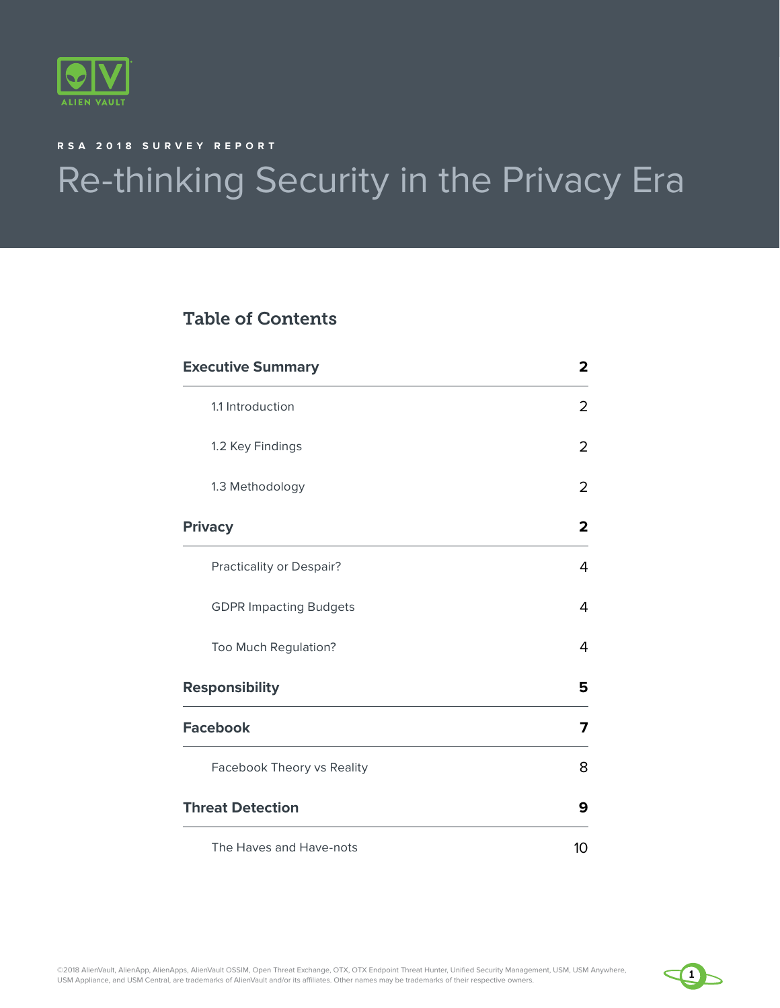

#### **RSA 2018 SURVEY REPORT**

# Re-thinking Security in the Privacy Era

### Table of Contents

| <b>Executive Summary</b>      | $\overline{2}$          |
|-------------------------------|-------------------------|
| 1.1 Introduction              | $\overline{2}$          |
| 1.2 Key Findings              | $\overline{2}$          |
| 1.3 Methodology               | $\overline{2}$          |
| <b>Privacy</b>                | $\overline{\mathbf{2}}$ |
| Practicality or Despair?      | 4                       |
| <b>GDPR Impacting Budgets</b> | 4                       |
| Too Much Regulation?          | 4                       |
| <b>Responsibility</b>         | 5                       |
| <b>Facebook</b>               | 7                       |
| Facebook Theory vs Reality    | 8                       |
| <b>Threat Detection</b>       | 9                       |
| The Haves and Have-nots       | 10                      |

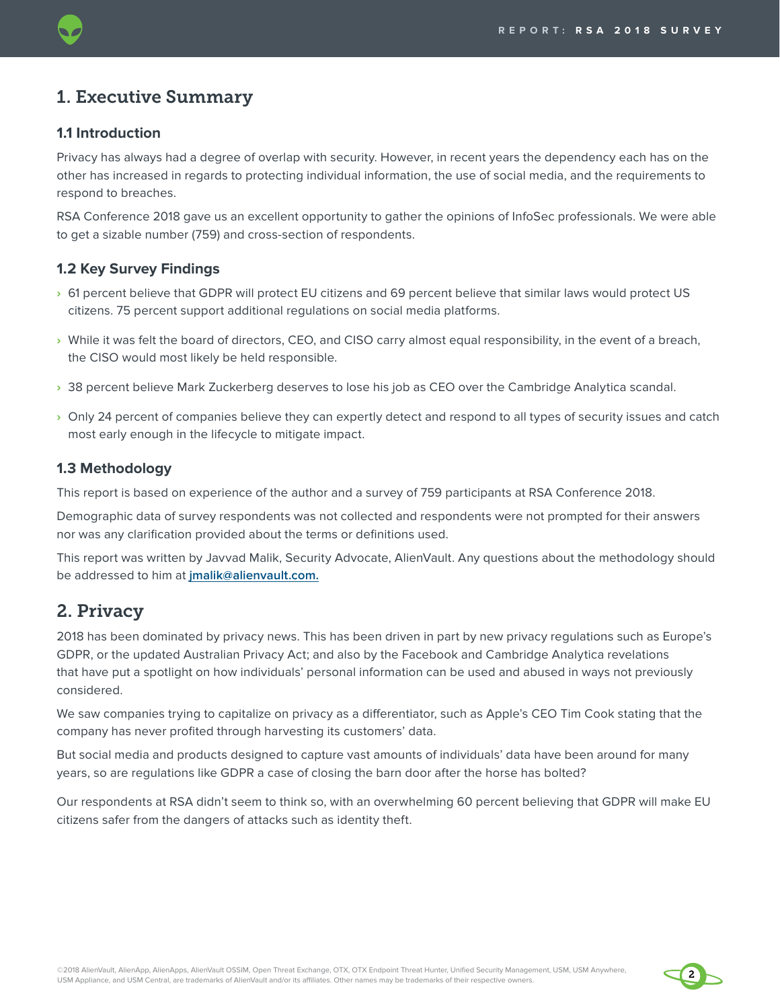### 1. Executive Summary

### **1.1 Introduction**

Privacy has always had a degree of overlap with security. However, in recent years the dependency each has on the other has increased in regards to protecting individual information, the use of social media, and the requirements to respond to breaches.

RSA Conference 2018 gave us an excellent opportunity to gather the opinions of InfoSec professionals. We were able to get a sizable number (759) and cross-section of respondents.

### **1.2 Key Survey Findings**

- **›** 61 percent believe that GDPR will protect EU citizens and 69 percent believe that similar laws would protect US citizens. 75 percent support additional regulations on social media platforms.
- **›** While it was felt the board of directors, CEO, and CISO carry almost equal responsibility, in the event of a breach, the CISO would most likely be held responsible.
- **›** 38 percent believe Mark Zuckerberg deserves to lose his job as CEO over the Cambridge Analytica scandal.
- **›** Only 24 percent of companies believe they can expertly detect and respond to all types of security issues and catch most early enough in the lifecycle to mitigate impact.

### **1.3 Methodology**

This report is based on experience of the author and a survey of 759 participants at RSA Conference 2018.

Demographic data of survey respondents was not collected and respondents were not prompted for their answers nor was any clarification provided about the terms or definitions used.

This report was written by Javvad Malik, Security Advocate, AlienVault. Any questions about the methodology should be addressed to him at **jmalik@alienvault.com.**

### 2. Privacy

2018 has been dominated by privacy news. This has been driven in part by new privacy regulations such as Europe's GDPR, or the updated Australian Privacy Act; and also by the Facebook and Cambridge Analytica revelations that have put a spotlight on how individuals' personal information can be used and abused in ways not previously considered.

We saw companies trying to capitalize on privacy as a differentiator, such as Apple's CEO Tim Cook stating that the company has never profited through harvesting its customers' data.

But social media and products designed to capture vast amounts of individuals' data have been around for many years, so are regulations like GDPR a case of closing the barn door after the horse has bolted?

Our respondents at RSA didn't seem to think so, with an overwhelming 60 percent believing that GDPR will make EU citizens safer from the dangers of attacks such as identity theft.

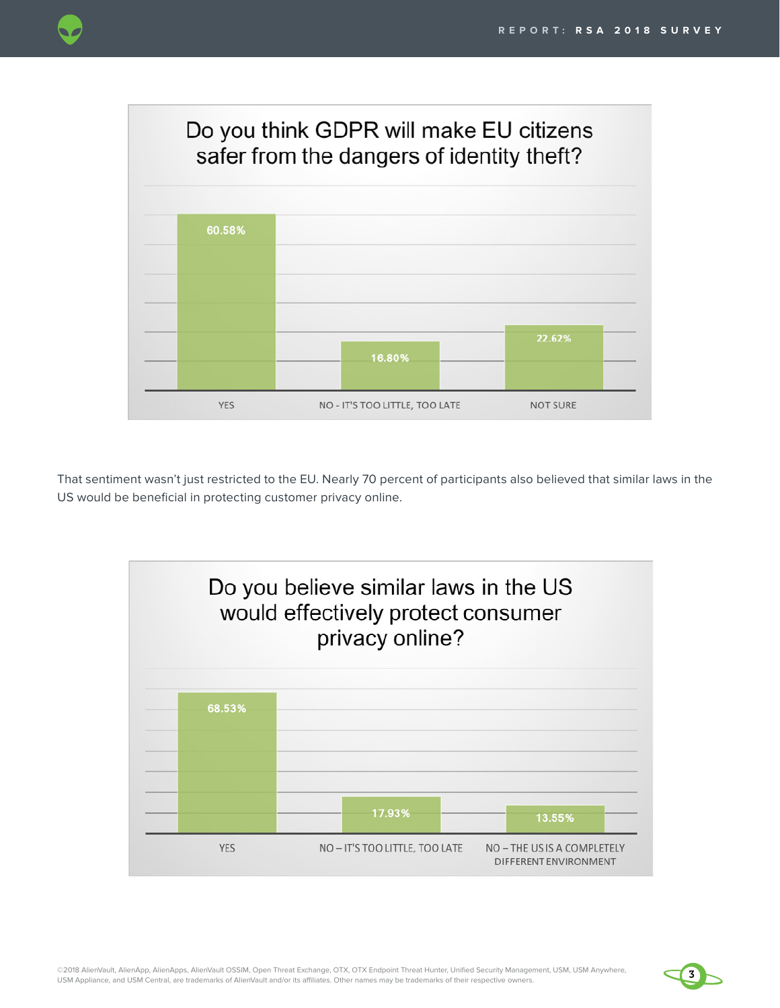

That sentiment wasn't just restricted to the EU. Nearly 70 percent of participants also believed that similar laws in the US would be beneficial in protecting customer privacy online.



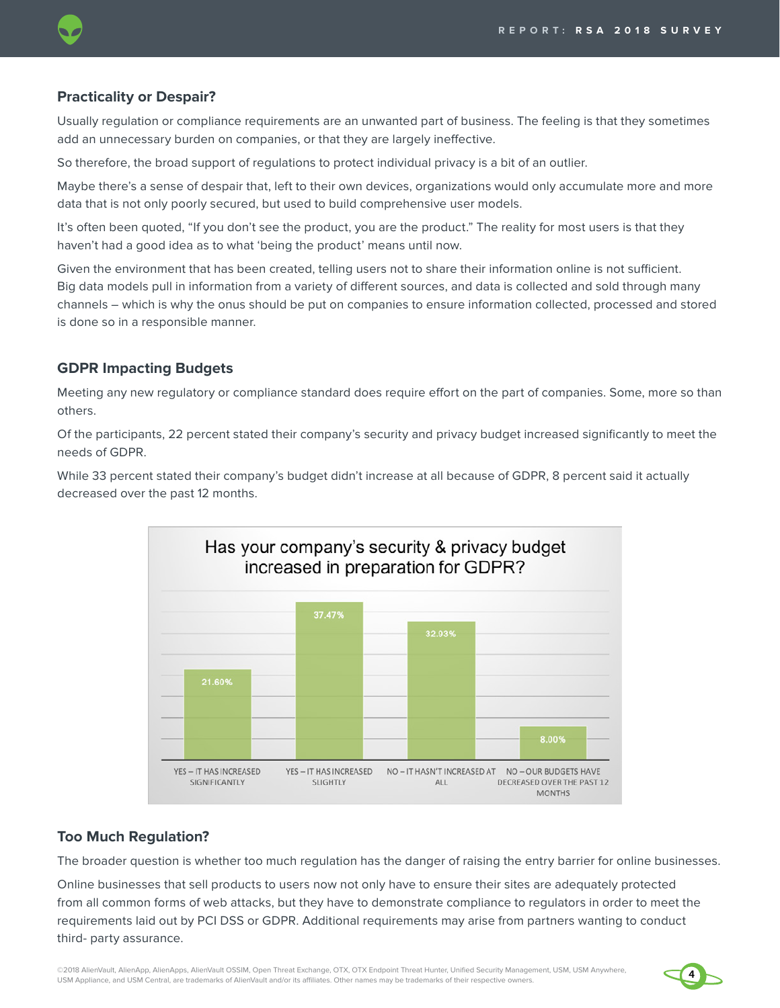

### **Practicality or Despair?**

Usually regulation or compliance requirements are an unwanted part of business. The feeling is that they sometimes add an unnecessary burden on companies, or that they are largely ineffective.

So therefore, the broad support of regulations to protect individual privacy is a bit of an outlier.

Maybe there's a sense of despair that, left to their own devices, organizations would only accumulate more and more data that is not only poorly secured, but used to build comprehensive user models.

It's often been quoted, "If you don't see the product, you are the product." The reality for most users is that they haven't had a good idea as to what 'being the product' means until now.

Given the environment that has been created, telling users not to share their information online is not sufficient. Big data models pull in information from a variety of different sources, and data is collected and sold through many channels – which is why the onus should be put on companies to ensure information collected, processed and stored is done so in a responsible manner.

#### **GDPR Impacting Budgets**

Meeting any new regulatory or compliance standard does require effort on the part of companies. Some, more so than others.

Of the participants, 22 percent stated their company's security and privacy budget increased significantly to meet the needs of GDPR.

While 33 percent stated their company's budget didn't increase at all because of GDPR, 8 percent said it actually decreased over the past 12 months.



#### **Too Much Regulation?**

The broader question is whether too much regulation has the danger of raising the entry barrier for online businesses.

Online businesses that sell products to users now not only have to ensure their sites are adequately protected from all common forms of web attacks, but they have to demonstrate compliance to regulators in order to meet the requirements laid out by PCI DSS or GDPR. Additional requirements may arise from partners wanting to conduct third- party assurance.

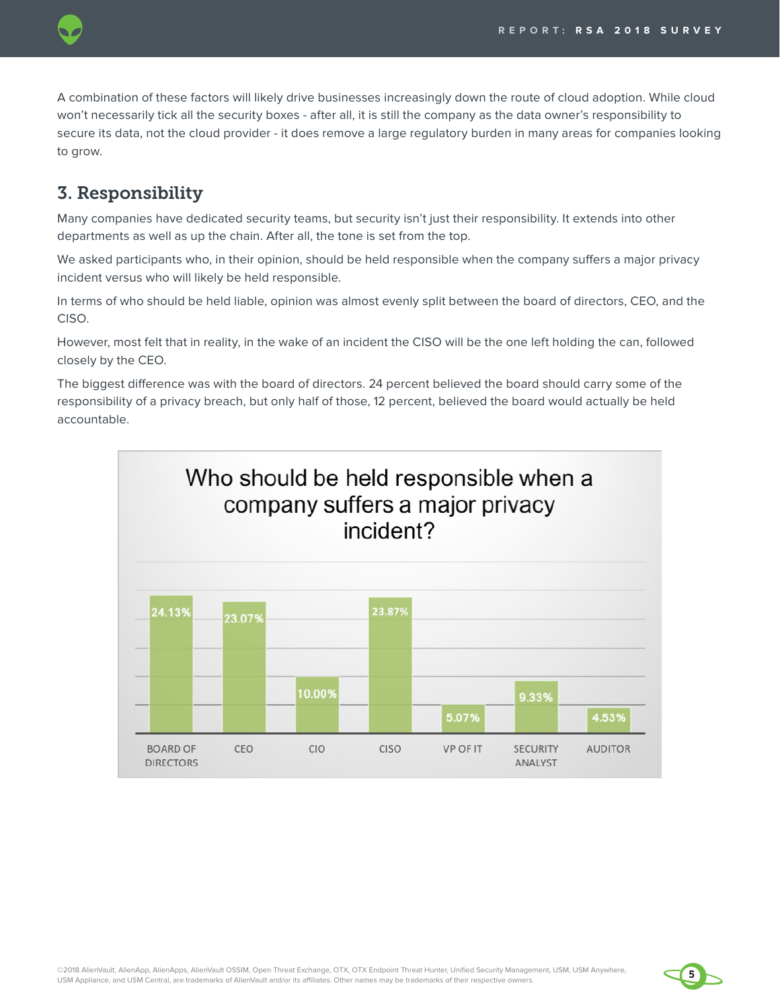

A combination of these factors will likely drive businesses increasingly down the route of cloud adoption. While cloud won't necessarily tick all the security boxes - after all, it is still the company as the data owner's responsibility to secure its data, not the cloud provider - it does remove a large regulatory burden in many areas for companies looking to grow.

## 3. Responsibility

Many companies have dedicated security teams, but security isn't just their responsibility. It extends into other departments as well as up the chain. After all, the tone is set from the top.

We asked participants who, in their opinion, should be held responsible when the company suffers a major privacy incident versus who will likely be held responsible.

In terms of who should be held liable, opinion was almost evenly split between the board of directors, CEO, and the CISO.

However, most felt that in reality, in the wake of an incident the CISO will be the one left holding the can, followed closely by the CEO.

The biggest difference was with the board of directors. 24 percent believed the board should carry some of the responsibility of a privacy breach, but only half of those, 12 percent, believed the board would actually be held accountable.



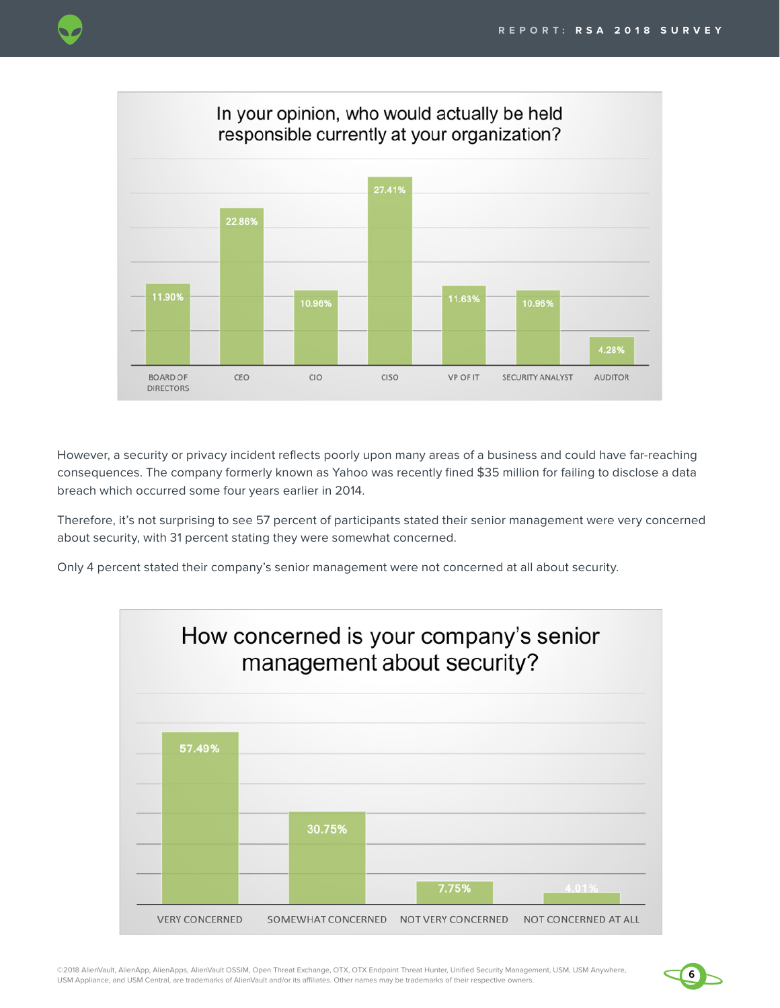

However, a security or privacy incident reflects poorly upon many areas of a business and could have far-reaching consequences. The company formerly known as Yahoo was recently fined \$35 million for failing to disclose a data breach which occurred some four years earlier in 2014.

Therefore, it's not surprising to see 57 percent of participants stated their senior management were very concerned about security, with 31 percent stating they were somewhat concerned.

Only 4 percent stated their company's senior management were not concerned at all about security.



©2018 AlienVault, AlienApp, AlienApps, AlienVault OSSIM, Open Threat Exchange, OTX, OTX Endpoint Threat Hunter, Unified Security Management, USM, USM Anywhere, USM Appliance, and USM Central, are trademarks of AlienVault and/or its affiliates. Other names may be trademarks of their respective owners.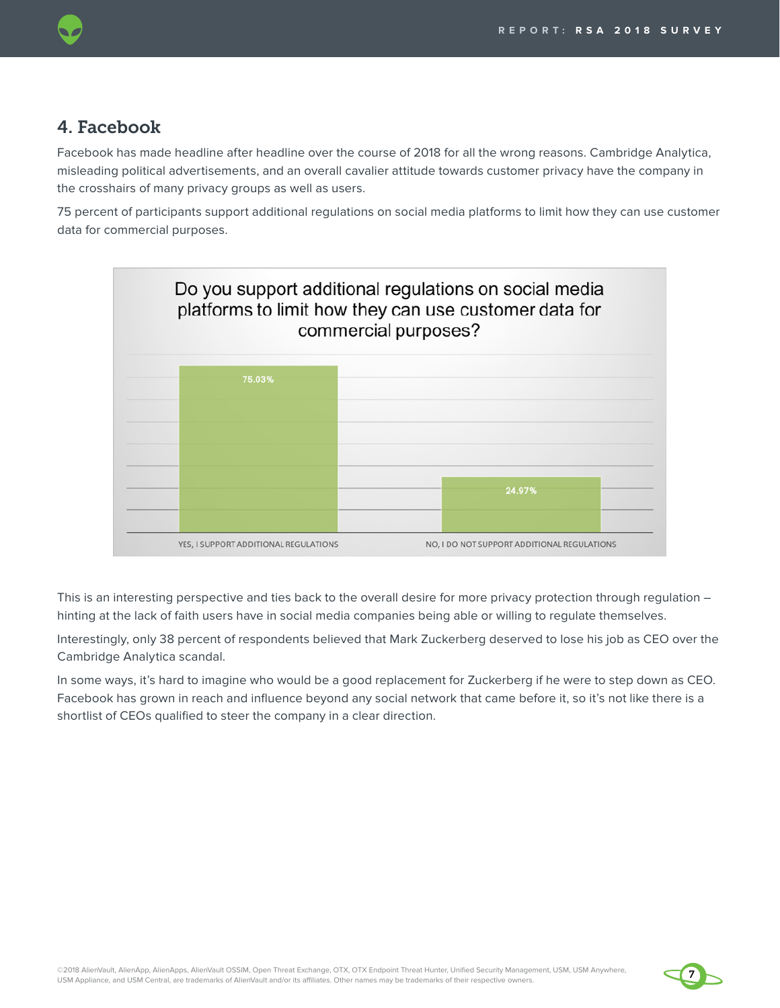### 4. Facebook

Facebook has made headline after headline over the course of 2018 for all the wrong reasons. Cambridge Analytica, misleading political advertisements, and an overall cavalier attitude towards customer privacy have the company in the crosshairs of many privacy groups as well as users.

75 percent of participants support additional regulations on social media platforms to limit how they can use customer data for commercial purposes.



This is an interesting perspective and ties back to the overall desire for more privacy protection through regulation – hinting at the lack of faith users have in social media companies being able or willing to regulate themselves.

Interestingly, only 38 percent of respondents believed that Mark Zuckerberg deserved to lose his job as CEO over the Cambridge Analytica scandal.

In some ways, it's hard to imagine who would be a good replacement for Zuckerberg if he were to step down as CEO. Facebook has grown in reach and influence beyond any social network that came before it, so it's not like there is a shortlist of CEOs qualified to steer the company in a clear direction.

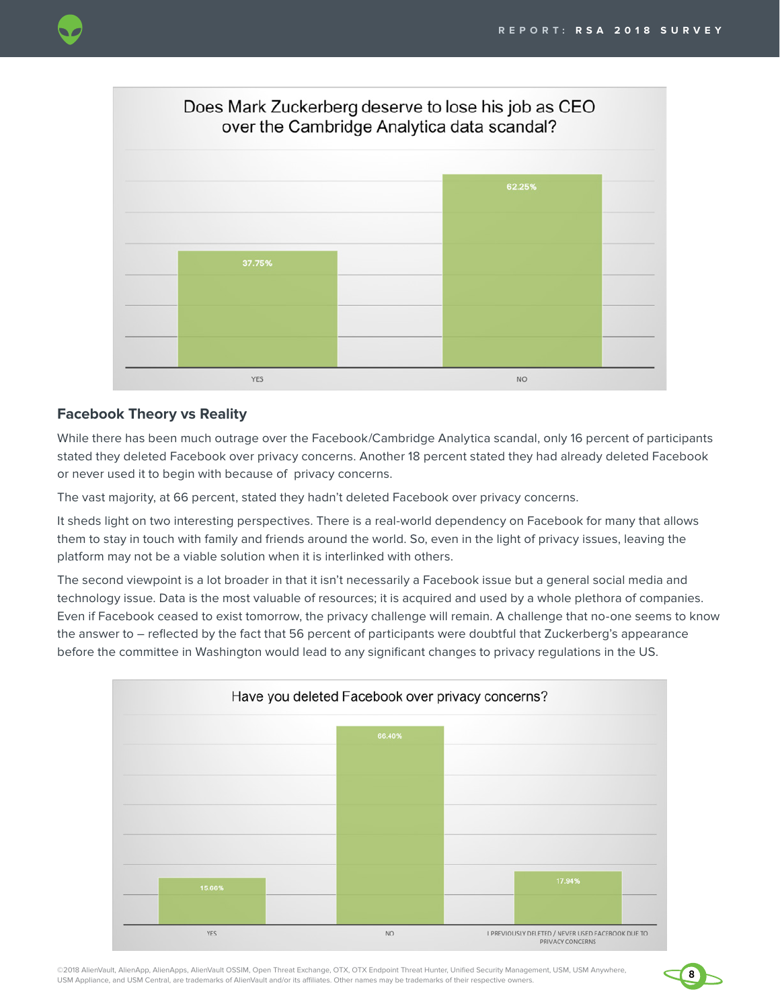



### **Facebook Theory vs Reality**

While there has been much outrage over the Facebook/Cambridge Analytica scandal, only 16 percent of participants stated they deleted Facebook over privacy concerns. Another 18 percent stated they had already deleted Facebook or never used it to begin with because of privacy concerns.

The vast majority, at 66 percent, stated they hadn't deleted Facebook over privacy concerns.

It sheds light on two interesting perspectives. There is a real-world dependency on Facebook for many that allows them to stay in touch with family and friends around the world. So, even in the light of privacy issues, leaving the platform may not be a viable solution when it is interlinked with others.

The second viewpoint is a lot broader in that it isn't necessarily a Facebook issue but a general social media and technology issue. Data is the most valuable of resources; it is acquired and used by a whole plethora of companies. Even if Facebook ceased to exist tomorrow, the privacy challenge will remain. A challenge that no-one seems to know the answer to – reflected by the fact that 56 percent of participants were doubtful that Zuckerberg's appearance before the committee in Washington would lead to any significant changes to privacy regulations in the US.



©2018 AlienVault, AlienApp, AlienApps, AlienVault OSSIM, Open Threat Exchange, OTX, OTX Endpoint Threat Hunter, Unified Security Management, USM, USM Anywhere, USM Appliance, and USM Central, are trademarks of AlienVault and/or its affiliates. Other names may be trademarks of their respective owners.

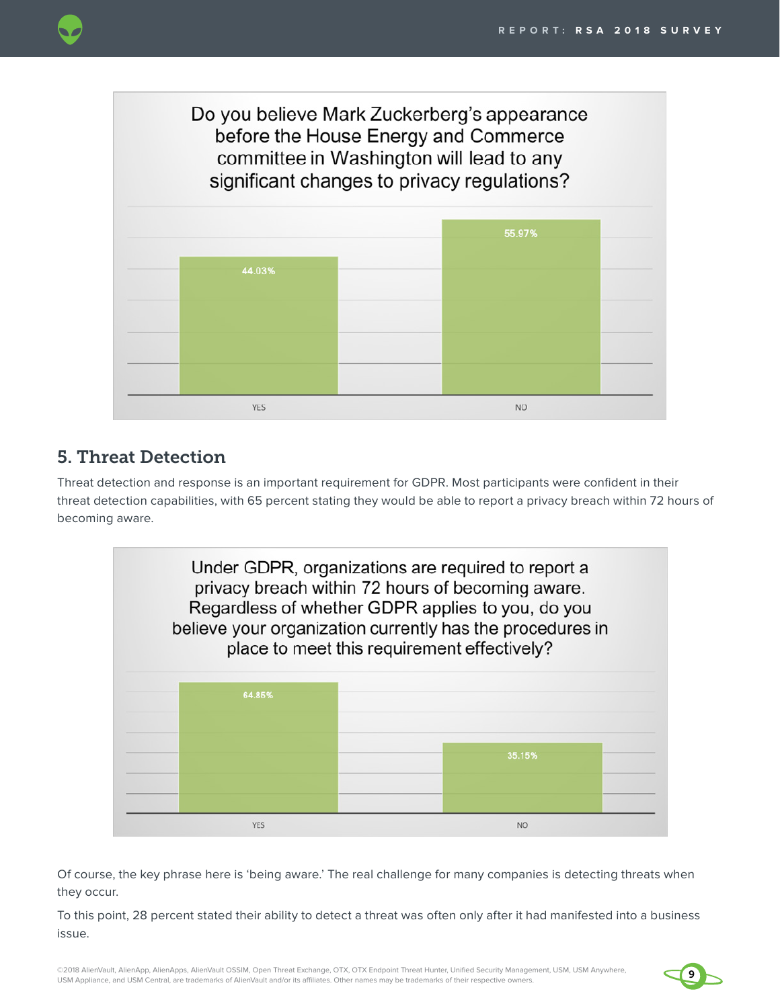

# 5. Threat Detection

Threat detection and response is an important requirement for GDPR. Most participants were confident in their threat detection capabilities, with 65 percent stating they would be able to report a privacy breach within 72 hours of becoming aware.



Of course, the key phrase here is 'being aware.' The real challenge for many companies is detecting threats when they occur.

To this point, 28 percent stated their ability to detect a threat was often only after it had manifested into a business issue.

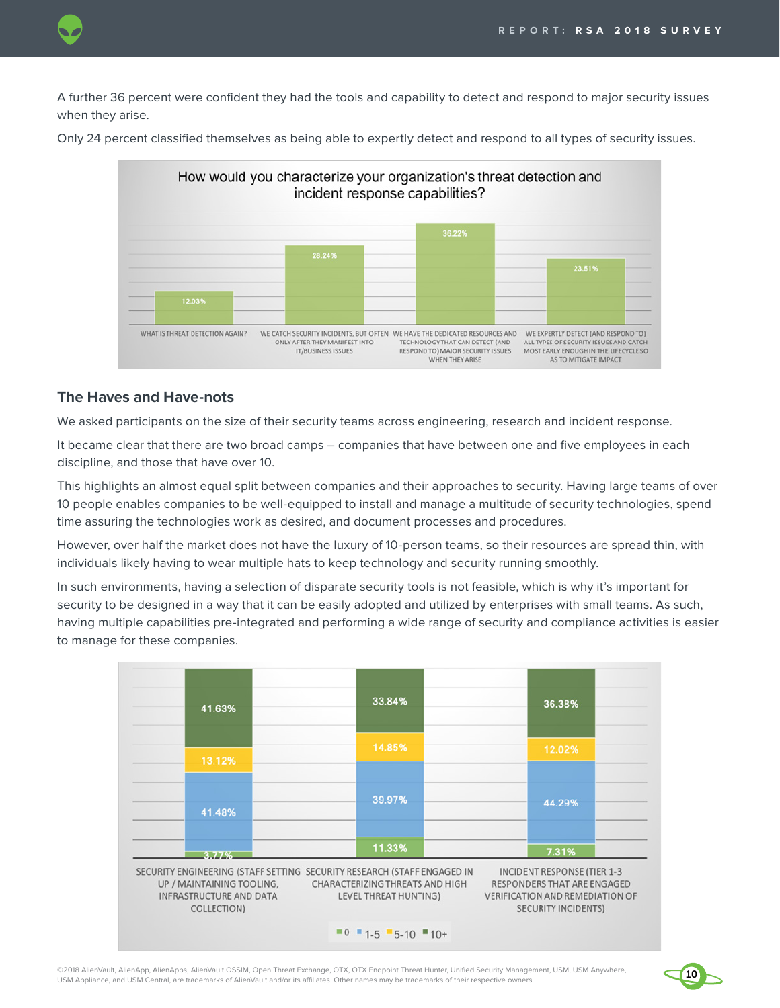

A further 36 percent were confident they had the tools and capability to detect and respond to major security issues when they arise.

Only 24 percent classified themselves as being able to expertly detect and respond to all types of security issues.



#### **The Haves and Have-nots**

We asked participants on the size of their security teams across engineering, research and incident response.

It became clear that there are two broad camps – companies that have between one and five employees in each discipline, and those that have over 10.

This highlights an almost equal split between companies and their approaches to security. Having large teams of over 10 people enables companies to be well-equipped to install and manage a multitude of security technologies, spend time assuring the technologies work as desired, and document processes and procedures.

However, over half the market does not have the luxury of 10-person teams, so their resources are spread thin, with individuals likely having to wear multiple hats to keep technology and security running smoothly.

In such environments, having a selection of disparate security tools is not feasible, which is why it's important for security to be designed in a way that it can be easily adopted and utilized by enterprises with small teams. As such, having multiple capabilities pre-integrated and performing a wide range of security and compliance activities is easier to manage for these companies.



©2018 AlienVault, AlienApp, AlienApps, AlienVault OSSIM, Open Threat Exchange, OTX, OTX Endpoint Threat Hunter, Unified Security Management, USM, USM Anywhere, **10** USM Appliance, and USM Central, are trademarks of AlienVault and/or its affiliates. Other names may be trademarks of their respective owners.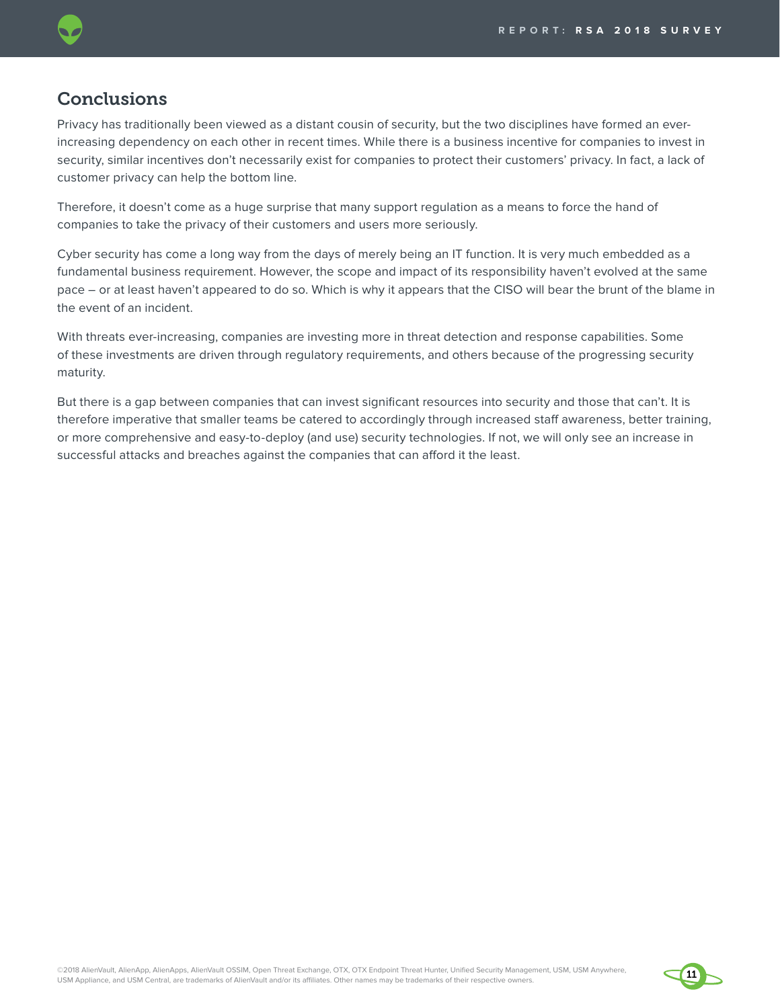### **Conclusions**

Privacy has traditionally been viewed as a distant cousin of security, but the two disciplines have formed an everincreasing dependency on each other in recent times. While there is a business incentive for companies to invest in security, similar incentives don't necessarily exist for companies to protect their customers' privacy. In fact, a lack of customer privacy can help the bottom line.

Therefore, it doesn't come as a huge surprise that many support regulation as a means to force the hand of companies to take the privacy of their customers and users more seriously.

Cyber security has come a long way from the days of merely being an IT function. It is very much embedded as a fundamental business requirement. However, the scope and impact of its responsibility haven't evolved at the same pace – or at least haven't appeared to do so. Which is why it appears that the CISO will bear the brunt of the blame in the event of an incident.

With threats ever-increasing, companies are investing more in threat detection and response capabilities. Some of these investments are driven through regulatory requirements, and others because of the progressing security maturity.

But there is a gap between companies that can invest significant resources into security and those that can't. It is therefore imperative that smaller teams be catered to accordingly through increased staff awareness, better training, or more comprehensive and easy-to-deploy (and use) security technologies. If not, we will only see an increase in successful attacks and breaches against the companies that can afford it the least.

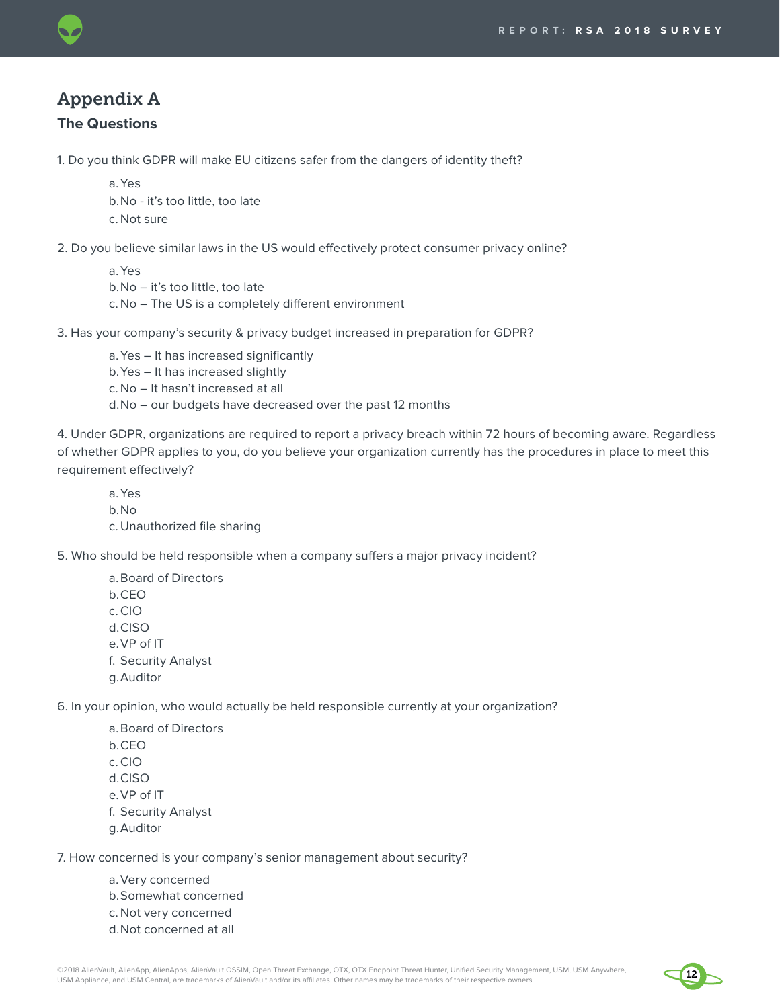

# Appendix A

### **The Questions**

1. Do you think GDPR will make EU citizens safer from the dangers of identity theft?

- a.Yes
- b.No it's too little, too late
- c. Not sure

2. Do you believe similar laws in the US would effectively protect consumer privacy online?

a.Yes b.No – it's too little, too late c. No – The US is a completely different environment

3. Has your company's security & privacy budget increased in preparation for GDPR?

a.Yes – It has increased significantly

b.Yes – It has increased slightly

c. No – It hasn't increased at all

d.No – our budgets have decreased over the past 12 months

4. Under GDPR, organizations are required to report a privacy breach within 72 hours of becoming aware. Regardless of whether GDPR applies to you, do you believe your organization currently has the procedures in place to meet this requirement effectively?

- a.Yes
- b.No
- c. Unauthorized file sharing

5. Who should be held responsible when a company suffers a major privacy incident?

- a.Board of Directors
- b.CEO
- c.CIO
- d.CISO
- e.VP of IT
- f. Security Analyst
- g.Auditor

6. In your opinion, who would actually be held responsible currently at your organization?

- a.Board of Directors
- b.CEO
- c.CIO
- d.CISO
- e.VP of IT
- f. Security Analyst
- g.Auditor

7. How concerned is your company's senior management about security?

- a.Very concerned
- b.Somewhat concerned
- c. Not very concerned
- d.Not concerned at all